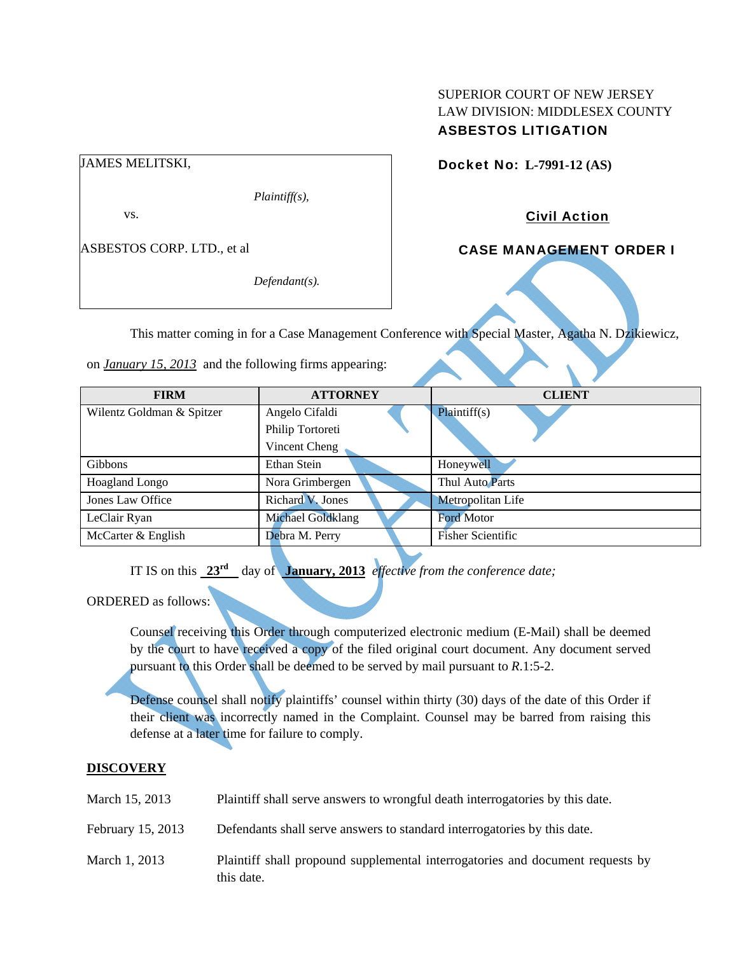# SUPERIOR COURT OF NEW JERSEY LAW DIVISION: MIDDLESEX COUNTY ASBESTOS LITIGATION

Docket No: **L-7991-12 (AS)** 

Civil Action

CASE MANAGEMENT ORDER I

This matter coming in for a Case Management Conference with Special Master, Agatha N. Dzikiewicz,

on *January 15, 2013* and the following firms appearing:

*Plaintiff(s),* 

*Defendant(s).* 

| <b>FIRM</b>               | <b>ATTORNEY</b>          | <b>CLIENT</b>     |
|---------------------------|--------------------------|-------------------|
| Wilentz Goldman & Spitzer | Angelo Cifaldi           | Plaintiff(s)      |
|                           | Philip Tortoreti         |                   |
|                           | Vincent Cheng            |                   |
| <b>Gibbons</b>            | Ethan Stein              | Honeywell         |
| Hoagland Longo            | Nora Grimbergen          | Thul Auto Parts   |
| Jones Law Office          | Richard V. Jones         | Metropolitan Life |
| LeClair Ryan              | <b>Michael Goldklang</b> | <b>Ford Motor</b> |
| McCarter & English        | Debra M. Perry           | Fisher Scientific |

IT IS on this  $23^{rd}$  day of **January, 2013** *effective from the conference date;* 

ORDERED as follows:

JAMES MELITSKI,

vs.

ASBESTOS CORP. LTD., et al

Counsel receiving this Order through computerized electronic medium (E-Mail) shall be deemed by the court to have received a copy of the filed original court document. Any document served pursuant to this Order shall be deemed to be served by mail pursuant to *R*.1:5-2.

Defense counsel shall notify plaintiffs' counsel within thirty (30) days of the date of this Order if their client was incorrectly named in the Complaint. Counsel may be barred from raising this defense at a later time for failure to comply.

# **DISCOVERY**

| March 15, 2013    | Plaintiff shall serve answers to wrongful death interrogatories by this date.                |
|-------------------|----------------------------------------------------------------------------------------------|
| February 15, 2013 | Defendants shall serve answers to standard interrogatories by this date.                     |
| March 1, 2013     | Plaintiff shall propound supplemental interrogatories and document requests by<br>this date. |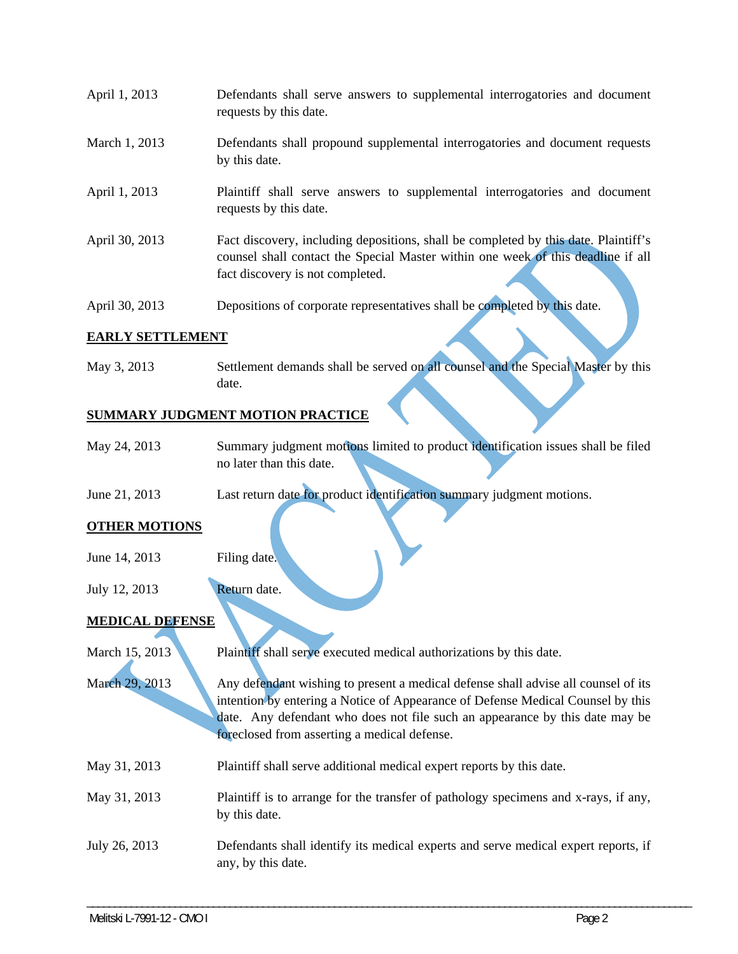- April 1, 2013 Defendants shall serve answers to supplemental interrogatories and document requests by this date.
- March 1, 2013 Defendants shall propound supplemental interrogatories and document requests by this date.
- April 1, 2013 Plaintiff shall serve answers to supplemental interrogatories and document requests by this date.
- April 30, 2013 Fact discovery, including depositions, shall be completed by this date. Plaintiff's counsel shall contact the Special Master within one week of this deadline if all fact discovery is not completed.
- April 30, 2013 Depositions of corporate representatives shall be completed by this date.

## **EARLY SETTLEMENT**

May 3, 2013 Settlement demands shall be served on all counsel and the Special Master by this date.

## **SUMMARY JUDGMENT MOTION PRACTICE**

- May 24, 2013 Summary judgment motions limited to product identification issues shall be filed no later than this date.
- June 21, 2013 Last return date for product identification summary judgment motions.

#### **OTHER MOTIONS**

- June 14, 2013 Filing date.
- July 12, 2013 Return date.

#### **MEDICAL DEFENSE**

March 15, 2013 Plaintiff shall serve executed medical authorizations by this date. March 29, 2013 Any defendant wishing to present a medical defense shall advise all counsel of its intention by entering a Notice of Appearance of Defense Medical Counsel by this date. Any defendant who does not file such an appearance by this date may be foreclosed from asserting a medical defense. May 31, 2013 Plaintiff shall serve additional medical expert reports by this date. May 31, 2013 Plaintiff is to arrange for the transfer of pathology specimens and x-rays, if any, by this date. July 26, 2013 Defendants shall identify its medical experts and serve medical expert reports, if any, by this date.

\_\_\_\_\_\_\_\_\_\_\_\_\_\_\_\_\_\_\_\_\_\_\_\_\_\_\_\_\_\_\_\_\_\_\_\_\_\_\_\_\_\_\_\_\_\_\_\_\_\_\_\_\_\_\_\_\_\_\_\_\_\_\_\_\_\_\_\_\_\_\_\_\_\_\_\_\_\_\_\_\_\_\_\_\_\_\_\_\_\_\_\_\_\_\_\_\_\_\_\_\_\_\_\_\_\_\_\_\_\_